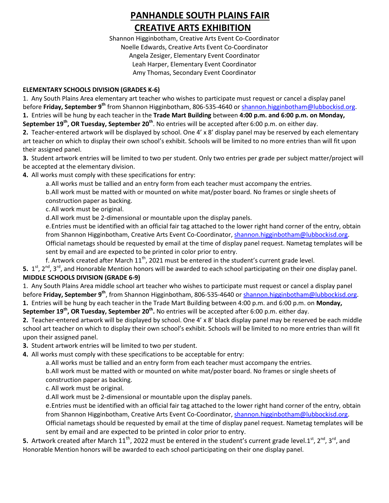## **PANHANDLE SOUTH PLAINS FAIR CREATIVE ARTS EXHIBITION**

Shannon Higginbotham, Creative Arts Event Co-Coordinator Noelle Edwards, Creative Arts Event Co-Coordinator Angela Zesiger, Elementary Event Coordinator Leah Harper, Elementary Event Coordinator Amy Thomas, Secondary Event Coordinator

## **ELEMENTARY SCHOOLS DIVISION (GRADES K-6)**

1. Any South Plains Area elementary art teacher who wishes to participate must request or cancel a display panel before **Friday, September 9th** from Shannon Higginbotham, 806-535-4640 or [shannon.higginbotham@lubbockisd.org.](mailto:shannon.higginbotham@lubbockisd.org) **1.** Entries will be hung by each teacher in the **Trade Mart Building** between **4:00 p.m. and 6:00 p.m. on Monday,**  September 19<sup>th</sup>, OR Tuesday, September 20<sup>th</sup>. No entries will be accepted after 6:00 p.m. on either day.

**2.** Teacher-entered artwork will be displayed by school. One 4' x 8' display panel may be reserved by each elementary art teacher on which to display their own school's exhibit. Schools will be limited to no more entries than will fit upon their assigned panel.

**3.** Student artwork entries will be limited to two per student. Only two entries per grade per subject matter/project will be accepted at the elementary division.

**4.** All works must comply with these specifications for entry:

a.All works must be tallied and an entry form from each teacher must accompany the entries.

b.All work must be matted with or mounted on white mat/poster board. No frames or single sheets of construction paper as backing.

c.All work must be original.

d.All work must be 2-dimensional or mountable upon the display panels.

e.Entries must be identified with an official fair tag attached to the lower right hand corner of the entry, obtain from Shannon Higginbotham, Creative Arts Event Co-Coordinator[, shannon.higginbotham@lubbockisd.org.](mailto:shannon.higginbotham@lubbockisd.org)

Official nametags should be requested by email at the time of display panel request. Nametag templates will be sent by email and are expected to be printed in color prior to entry.

f. Artwork created after March 11<sup>th</sup>, 2021 must be entered in the student's current grade level.

**5.** 1<sup>st</sup>, 2<sup>nd</sup>, 3<sup>rd</sup>, and Honorable Mention honors will be awarded to each school participating on their one display panel. **MIDDLE SCHOOLS DIVISION (GRADE 6-9)**

1. Any South Plains Area middle school art teacher who wishes to participate must request or cancel a display panel before **Friday, September 9<sup>th</sup>,** from Shannon Higginbotham, 806-535-4640 or <u>shannon.higginbotham@lubbockisd.org</u>. **1.** Entries will be hung by each teacher in the Trade Mart Building between 4:00 p.m. and 6:00 p.m. on **Monday,** 

**September 19<sup>th</sup>, OR Tuesday, September 20<sup>th</sup>. No entries will be accepted after 6:00 p.m. either day.** 

**2.** Teacher-entered artwork will be displayed by school. One 4' x 8' black display panel may be reserved be each middle school art teacher on which to display their own school's exhibit. Schools will be limited to no more entries than will fit upon their assigned panel.

**3.** Student artwork entries will be limited to two per student.

**4.** All works must comply with these specifications to be acceptable for entry:

a.All works must be tallied and an entry form from each teacher must accompany the entries.

b.All work must be matted with or mounted on white mat/poster board. No frames or single sheets of construction paper as backing.

c.All work must be original.

d.All work must be 2-dimensional or mountable upon the display panels.

e.Entries must be identified with an official fair tag attached to the lower right hand corner of the entry, obtain from Shannon Higginbotham, Creative Arts Event Co-Coordinator[, shannon.higginbotham@lubbockisd.org.](mailto:shannon.higginbotham@lubbockisd.org)

Official nametags should be requested by email at the time of display panel request. Nametag templates will be sent by email and are expected to be printed in color prior to entry.

5. Artwork created after March 11<sup>th</sup>, 2022 must be entered in the student's current grade level.1<sup>st</sup>, 2<sup>nd</sup>, 3<sup>rd</sup>, and Honorable Mention honors will be awarded to each school participating on their one display panel.